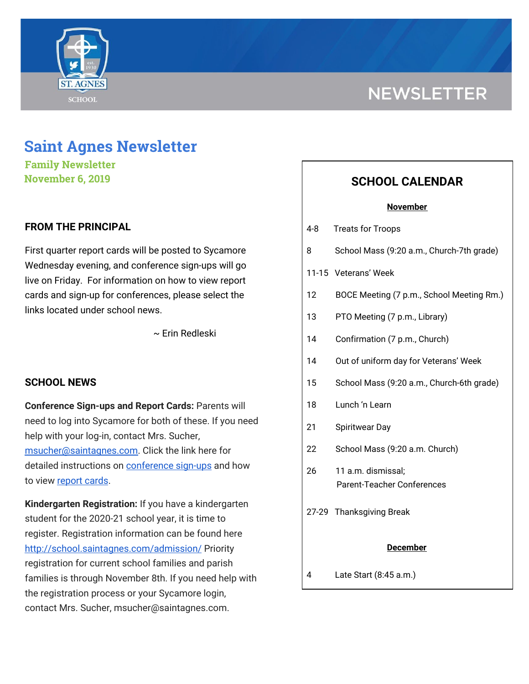

# **NEWSLETTER**

## **Saint Agnes Newsletter**

**Family Newsletter November 6, 2019**

## **FROM THE PRINCIPAL**

First quarter report cards will be posted to Sycamore Wednesday evening, and conference sign-ups will go live on Friday. For information on how to view report cards and sign-up for conferences, please select the links located under school news.

~ Erin Redleski

### **SCHOOL NEWS**

**Conference Sign-ups and Report Cards:** Parents will need to log into Sycamore for both of these. If you need help with your log-in, contact Mrs. Sucher, [msucher@saintagnes.com.](mailto:msucher@saintagnes.com) Click the link here for detailed instructions on **[conference](http://school.saintagnes.com/wp-content/uploads/2019/11/Parent-View-How-to-schedule-Conferences-2019.pdf)** sign-ups and how to view [report](http://school.saintagnes.com/wp-content/uploads/2019/11/Parents-How-to-see-report-cards.pdf) cards.

**Kindergarten Registration:** If you have a kindergarten student for the 2020-21 school year, it is time to register. Registration information can be found here <http://school.saintagnes.com/admission/> Priority registration for current school families and parish families is through November 8th. If you need help with the registration process or your Sycamore login, contact Mrs. Sucher, msucher@saintagnes.com.

## **SCHOOL CALENDAR**

#### **November**

- 4-8 Treats for Troops
- 8 School Mass (9:20 a.m., Church-7th grade)
- 11-15 Veterans' Week
- 12 BOCE Meeting (7 p.m., School Meeting Rm.)
- 13 PTO Meeting (7 p.m., Library)
- 14 Confirmation (7 p.m., Church)
- 14 Out of uniform day for Veterans' Week
- 15 School Mass (9:20 a.m., Church-6th grade)
- 18 Lunch 'n Learn
- 21 Spiritwear Day
- 22 School Mass (9:20 a.m. Church)
- 26 11 a.m. dismissal; Parent-Teacher Conferences
- 27-29 Thanksgiving Break

#### **December**

4 Late Start (8:45 a.m.)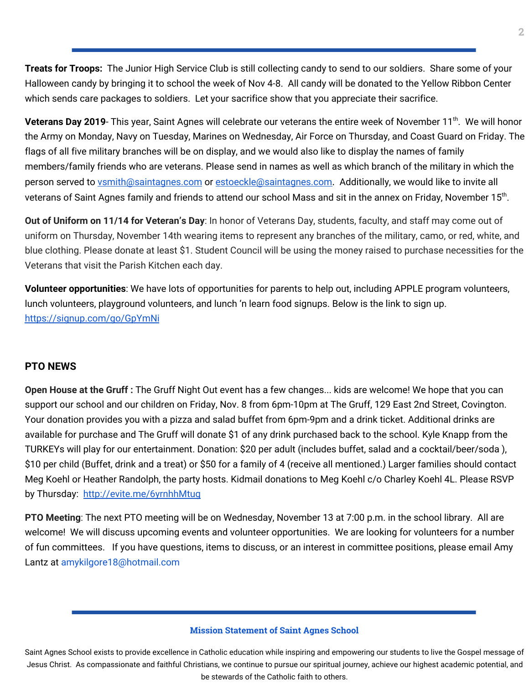**Treats for Troops:** The Junior High Service Club is still collecting candy to send to our soldiers. Share some of your Halloween candy by bringing it to school the week of Nov 4-8. All candy will be donated to the Yellow Ribbon Center which sends care packages to soldiers. Let your sacrifice show that you appreciate their sacrifice.

**Veterans Day 2019**- This year, Saint Agnes will celebrate our veterans the entire week of November 11<sup>th</sup>. We will honor the Army on Monday, Navy on Tuesday, Marines on Wednesday, Air Force on Thursday, and Coast Guard on Friday. The flags of all five military branches will be on display, and we would also like to display the names of family members/family friends who are veterans. Please send in names as well as which branch of the military in which the person served to **[vsmith@saintagnes.com](mailto:vsmith@saintagnes.com)** or [estoeckle@saintagnes.com](mailto:estoeckle@saintagnes.com). Additionally, we would like to invite all veterans of Saint Agnes family and friends to attend our school Mass and sit in the annex on Friday, November 15<sup>th</sup>.

**Out of Uniform on 11/14 for Veteran's Day**: In honor of Veterans Day, students, faculty, and staff may come out of uniform on Thursday, November 14th wearing items to represent any branches of the military, camo, or red, white, and blue clothing. Please donate at least \$1. Student Council will be using the money raised to purchase necessities for the Veterans that visit the Parish Kitchen each day.

**Volunteer opportunities**: We have lots of opportunities for parents to help out, including APPLE program volunteers, lunch volunteers, playground volunteers, and lunch 'n learn food signups. Below is the link to sign up. <https://signup.com/go/GpYmNi>

### **PTO NEWS**

**Open House at the Gruff :** The Gruff Night Out event has a few changes... kids are welcome! We hope that you can support our school and our children on Friday, Nov. 8 from 6pm-10pm at The Gruff, 129 East 2nd Street, Covington. Your donation provides you with a pizza and salad buffet from 6pm-9pm and a drink ticket. Additional drinks are available for purchase and The Gruff will donate \$1 of any drink purchased back to the school. Kyle Knapp from the TURKEYs will play for our entertainment. Donation: \$20 per adult (includes buffet, salad and a cocktail/beer/soda ), \$10 per child (Buffet, drink and a treat) or \$50 for a family of 4 (receive all mentioned.) Larger families should contact Meg Koehl or Heather Randolph, the party hosts. Kidmail donations to Meg Koehl c/o Charley Koehl 4L. Please RSVP by Thursday: http://evite.me/6yrnhhMtuq

**PTO Meeting**: The next PTO meeting will be on Wednesday, November 13 at 7:00 p.m. in the school library. All are welcome! We will discuss upcoming events and volunteer opportunities. We are looking for volunteers for a number of fun committees. If you have questions, items to discuss, or an interest in committee positions, please email Amy Lantz at amykilgore18@hotmail.com

#### **Mission Statement of Saint Agnes School**

Saint Agnes School exists to provide excellence in Catholic education while inspiring and empowering our students to live the Gospel message of Jesus Christ. As compassionate and faithful Christians, we continue to pursue our spiritual journey, achieve our highest academic potential, and be stewards of the Catholic faith to others.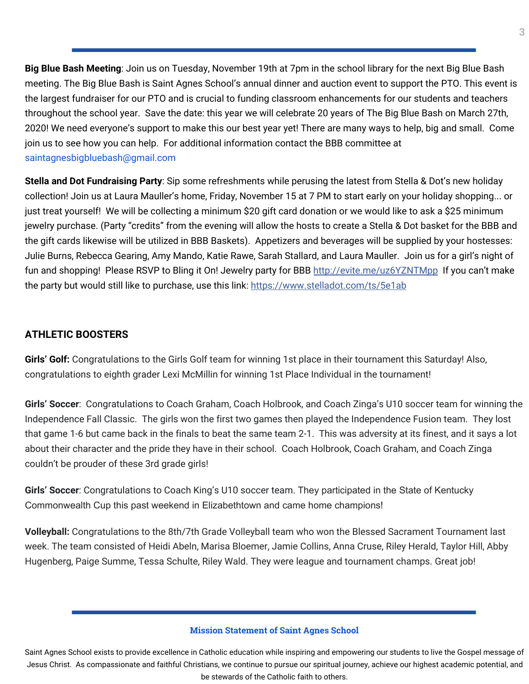**Big Blue Bash Meeting**: Join us on Tuesday, November 19th at 7pm in the school library for the next Big Blue Bash meeting. The Big Blue Bash is Saint Agnes School's annual dinner and auction event to support the PTO. This event is the largest fundraiser for our PTO and is crucial to funding classroom enhancements for our students and teachers throughout the school year. Save the date: this year we will celebrate 20 years of The Big Blue Bash on March 27th, 2020! We need everyone's support to make this our best year yet! There are many ways to help, big and small. Come join us to see how you can help. For additional information contact the BBB committee at saintagnesbigbluebash@gmail.com

**Stella and Dot Fundraising Party**: Sip some refreshments while perusing the latest from Stella & Dot's new holiday collection! Join us at Laura Mauller's home, Friday, November 15 at 7 PM to start early on your holiday shopping... or just treat yourself! We will be collecting a minimum \$20 gift card donation or we would like to ask a \$25 minimum jewelry purchase. (Party "credits" from the evening will allow the hosts to create a Stella & Dot basket for the BBB and the gift cards likewise will be utilized in BBB Baskets). Appetizers and beverages will be supplied by your hostesses: Julie Burns, Rebecca Gearing, Amy Mando, Katie Rawe, Sarah Stallard, and Laura Mauller. Join us for a girl's night of fun and shopping! Please RSVP to Bling it On! Jewelry party for BBB [http://evite.me/uz6YZNTMpp](https://l.facebook.com/l.php?u=http%3A%2F%2Fevite.me%2Fuz6YZNTMpp%3Ffbclid%3DIwAR2BsMYwEgRbELffyYxRlOm9sIHBqyxdm_lKfpBXPwHzIh8zNFAyH7uMEVA&h=AT3P428uqpdWjrjnkrC_kT5aF-tJYGgAj5SK5mxkl4kk-PVdlmju6YxuxuI-cltZ0nXgreRNX_R_I30Kuvj9UqF6IcKB_l11t9LwQyTeidDgCjVDvr5Zwvzjlyecw2jGoj_TYrc3gc940rrM01pphN4_4pTQwwDP_NZw0kX4NII2DR0) If you can't make the party but would still like to purchase, use this link: [https://www.stelladot.com/ts/5e1ab](https://l.facebook.com/l.php?u=https%3A%2F%2Fwww.stelladot.com%2Fts%2F5e1ab%3Ffbclid%3DIwAR1EUUbSv_uuA2ZzgHu18XOmK4VujksS24XAtQyRtJZ93ebnZSUzLeIFGGc&h=AT1c_ee6th2sGyKrW2432hmGkIZ91-MsxovAzcCOYHpoIiLOwOA7ALp_sKVnoZqNZEmc4Kba19WKwfIKlRYilrh07fWpUiBozoCTtryqmO-U9Wf4X-LwbOu01pTmjiMKUOEiMETavNPNsQFH2LA0fOAW_samuts5VE3U7gFksyZO1bY)

## **ATHLETIC BOOSTERS**

**Girls' Golf:** Congratulations to the Girls Golf team for winning 1st place in their tournament this Saturday! Also, congratulations to eighth grader Lexi McMillin for winning 1st Place Individual in the tournament!

**Girls' Soccer**: Congratulations to Coach Graham, Coach Holbrook, and Coach Zinga's U10 soccer team for winning the Independence Fall Classic. The girls won the first two games then played the Independence Fusion team. They lost that game 1-6 but came back in the finals to beat the same team 2-1. This was adversity at its finest, and it says a lot about their character and the pride they have in their school. Coach Holbrook, Coach Graham, and Coach Zinga couldn't be prouder of these 3rd grade girls!

**Girls' Soccer**: Congratulations to Coach King's U10 soccer team. They participated in the State of Kentucky Commonwealth Cup this past weekend in Elizabethtown and came home champions!

**Volleyball:** Congratulations to the 8th/7th Grade Volleyball team who won the Blessed Sacrament Tournament last week. The team consisted of Heidi Abeln, Marisa Bloemer, Jamie Collins, Anna Cruse, Riley Herald, Taylor Hill, Abby Hugenberg, Paige Summe, Tessa Schulte, Riley Wald. They were league and tournament champs. Great job!

#### **Mission Statement of Saint Agnes School**

Saint Agnes School exists to provide excellence in Catholic education while inspiring and empowering our students to live the Gospel message of Jesus Christ. As compassionate and faithful Christians, we continue to pursue our spiritual journey, achieve our highest academic potential, and be stewards of the Catholic faith to others.